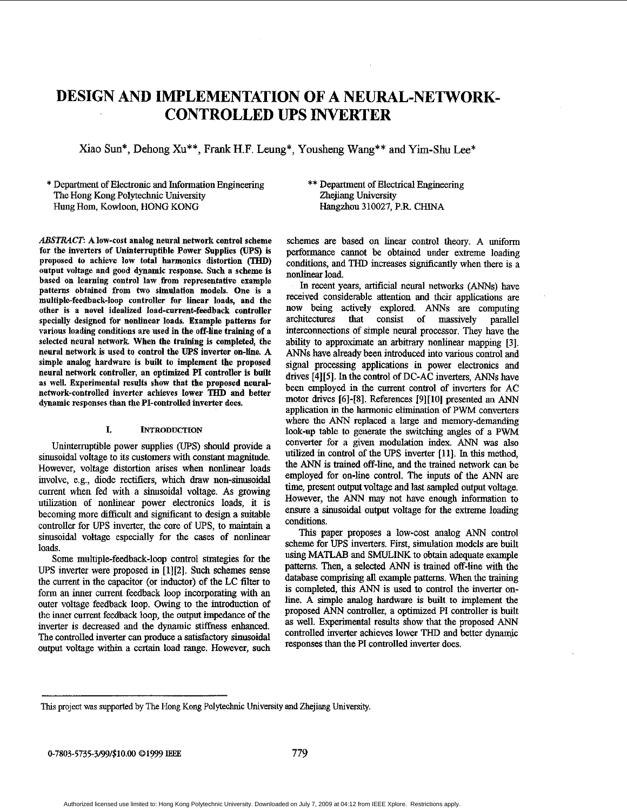# **DESIGN AND IMPLEMENTATION OF A NEURAL-NETWORK-CONTROLLED UPS INVERTER**

Xiao Sun\*, Dehong Xu\*\*, Frank H.F. Leung\*, Yousheng Wang\*\* and Yim-Shu Lee\*

\* Department of Electronic and Information Engineering The Hong Kong Polytechnic University **Hung** Hom, Kowloon, HONG KONG

*ABSTRACT:* **A low-rust analug neurnl network control scheme for the inverters of Uninterruptihle Power Supplies (UPS) is**  proposed to achieve low total harmonics distortion (THD) **output voltage and good dynamic response. Such a scheme is** based on learning control law from representative example patterns obtained from two simulation models. One is a multiple-feedback-loop controller for linear loads, and the **uthur is a nuvel idealized load-current-feedback controller**  specially designed for nonlinear loads. Example patterns for various loading conditions are used in the off-line training of a selected neural network. When the training is completed, the **neural network is used to control the** *UPS* **inverter on-line A simple analug hardware is built to implement the proposed neural network cuntruller, an optimized PI controller is built**  as well. Experimental results show that the proposed neural**network-controlled inverter achieves lower THD and better** dynamic responses than the PI-controlled inverter does.

# **1.** *hTRODUCTION*

Uninterruptible power supplies (UPS) should provide a sinusoidal voltage to its customers with constant magnitude. However, voltage distortion arises when nonlinear loads mvolve, e.g., diode rectifiers, which **draw** non-sinusoidal current when Fed with a sinusoidal voltage. **As** growing utilization of nonlinear power electronics loads, it is becoming more difficult and significant to design a suitable controller for UPS inverter, the core of UPS, to maintain a **siiiusoidal** voltage espccially **for** thc cases **of** nonlinear loads.

Some multiple-feedback-loop control strategies for the UPS inverter were proposed in **[l][2].** Such schemes sense the current in the capacitor (or inductor) of the LC filter to form an inner current feedback loop incorporating with an outer voltage feedback loop. Owing to the introduction of the inner current feedback loop, the output impedance of the inverter is decreased and the dynamic stiffness enhanced. The controlled inverter can produce a satisfactory sinusoidal output voltage within a certain load range. However, such

# \*\* Department of Electrical Engineering Zhejiang University Hangzhou 310027, P.R CHINA

schemes are based on linear control theory. A uniform performance cannot be obtained under extreme loading conditions, and THD increases siguficantly when there is a nonlinear load.

In recent years, artificial neural networks *(ANNs)* have received considemble attention and their applications are now being actively explored. *ANNs* are computing arcbitectnres that consist of massively parallel interconnections of simple neural processor. They have the ability to approximate an arbitrary nonlinear mapping [3]. *ANNs* have already been introduced into various control and *signal* processing applications in power electronics and drives **[4][5].** In the control of DC-AC inverters, *ANNs* have been employed in the current control of inverters for AC motor drives [6]-[SI. References [9][lO] presented an *ANN*  application in the harmonic elimination of PWM converters where the *ANN* replaced a large and memory-demanding look-up table to genemte the switching **angles** of a PWM converter for a given modulation index. ANN was also utilized in control of the *UPS* inverter [Ill. In **this** method, the *ANN* is trained off-line, **and** the trained network *can* be employed for on-line control. The inputs of the *ANN* **are**  time, present output voltage and last sampled output voltage. However, the *ANN* may not have enough information to ensure a sinusoidal output voltage for the extreme loading conditions.

This paper proposes a low-cost analog **ANN** control scheme for UPS inverters. First, simulation models **are** built using **MATLAB** and **SMULINK** to obtain adequate example patterns. Then, a selected *ANN* is trained off-line with the database comprising all example patterns. When the training is completed, this *ANN* is used to control the invertex online. A simple analog hardware **is** built to implement the proposed *ANN* controller, a optimized PI controller is built **as** well. Experimental results show that the proposed *ANN*  controlled inverter achieves lower THD and better dynamic responses than the PI controlled inverter does.

**This** project **was supported** by The Hong Kong Polytechnic **University** snd Zhejiang University.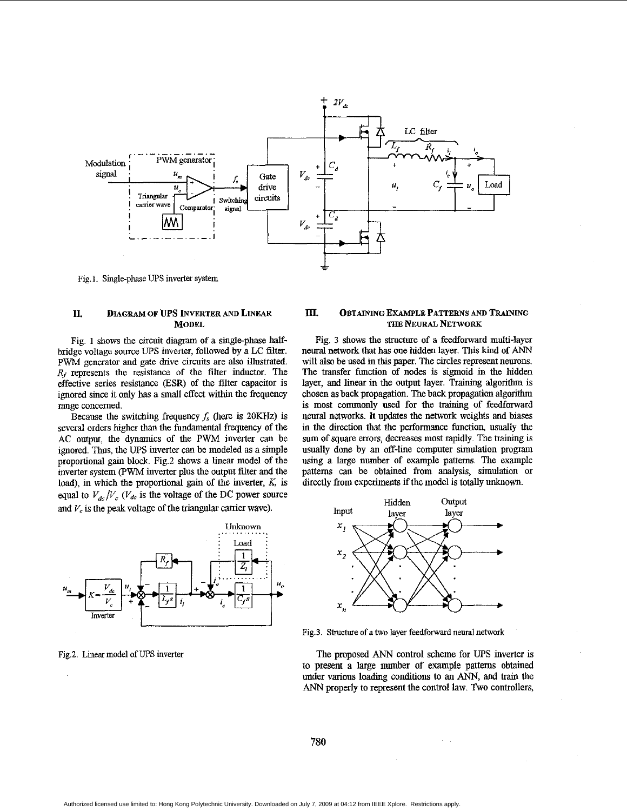

Fig.]. Single-phase UPS inverter system

# **D. DIAGRAM OF** *ups* **INVERTER AND LINEAR MODEL**

Fig. **1** shows the circuit diagram of a single-phase halfbridge voltage sonrce *UPS* inverter, followed by a LC filter. **PWM** generator and gate drive circuits are also illustrated. *R,* represents the resistance of the filter inductor. The effective series resistance **@SR)** of the filter capacitor is ignored since it only has a small effect within the frequency range concerned.

Because the switching frequency  $f_s$  (here is 20KHz) is several orders higher than the fundamental frequency of the **AC** output, the dynamics of the PWM inverter can be ignored. Thus, the UPS inverter can be modeled **as** a simple proportional gain block. Fig.2 shows a linear model of the inverter system (PWM inverter plus the output filter and the load), in which the proportional gain of the inverter, *K,* is equal to  $V_{dc}/V_c$  ( $V_{dc}$  is the voltage of the DC power source and  $V_c$  is the peak voltage of the triangular carrier wave).



Fig2 Linear model of *UPS* inverter

#### **III. OBTAINING EXAMPLE PATTERNS AND TRAINING THE NEURAL NETWORK**

Fig. **3** shows the *structure* of a feedforward mnlti-layer neural network that has one hidden layer. This kind of *ANN*  will also be used in this paper. The circles represent neurons. The transfer function of nodes is sigmoid in the hidden layer, and linear in the output layer. Training algorithm is chosen **as** back propagation. The back propagation algorithm is most commonly **used** for the training of feedforward neural networks. It updates the network weights and biases in the direction that the performance function, usually the sum of square errors, decreases most rapidly. The training is usually done by an off-line computer simulation program using a large number of example patterns. The example patterns can be obtained from analysis, simulation or directly from experiments if the model is totally unknown.



Fig.3. Structure of a two layer feedforward neural network

The proposed *ANN* control scheme for *UPS* inverter is to present **a** large number of example patterns obtained under various loading conditions to an ANN, and **train** the *ANN* properly to represent the control law. Two controllers,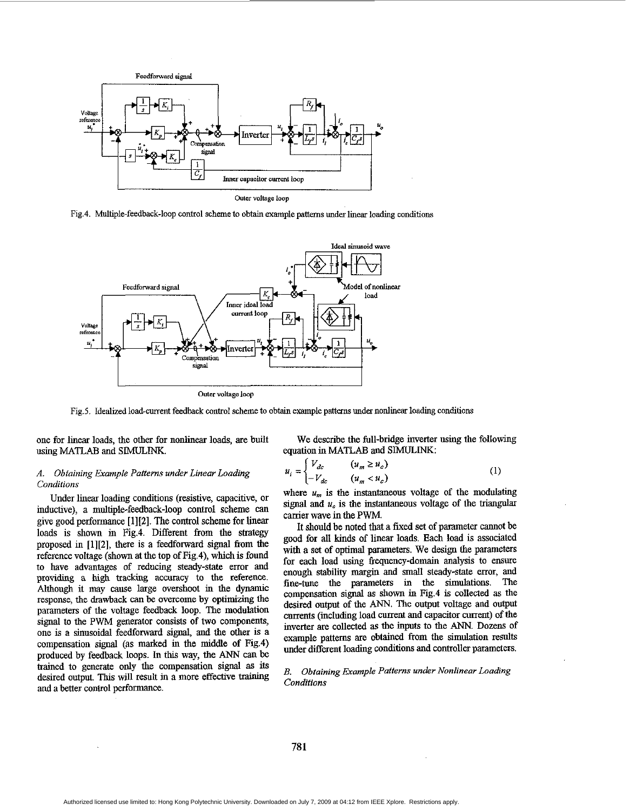

Fig.4. Multiple-feedback-loop control scheme to obtain example patterns under linear loading conditions



**outer Yoitage loop** 

Fig.5. Idealized load-cwent feedback control scheme to obtain example **patterns** under nonlinear **loading** conditions

one for linear loads, the other for nonlinear loads, are built using MATLAB and **SIMULINK.** 

# *A. Obtaining Example Patterns under Linear Loading Conditions*

Under linear loading conditions (resistive, capacitive, or inductive), a multiple-feedback-loop control scheme can give good pexformance **[1][2].** The control scheme for linear loads is shown in Fig.4. Different from the strategy proposed in **[1][2],** there is a fedforward *signal* from the reference voltage (shown *at* the top of Fig.4), which is found to have advantages of reducing steady-state error and providing a high tracking accuracy to the reference. Although it may cause large overshoot in the dynamic response, the drawback can be overcome by optimizing the parameters of the voltage feedback loop. The modulation signal to the PWM generator consists of two components, one is a sinusoidal feedforward signal, and the other is a compensation signal (as marked in the middle of Fig.4) produced by feedback loops. In this way, the *ANN* can be trained to generate only the compensation signal **as** its desired output. This will result in a more effective training and a better control performance.

We describe the full-bridge inverter using the following equation in MATLAB and SIMULINK:

$$
u_i = \begin{cases} V_{dc} & (u_m \ge u_c) \\ -V_{dc} & (u_m < u_c) \end{cases} \tag{1}
$$

where  $u_m$  is the instantaneous voltage of the modulating signal and  $u<sub>c</sub>$  is the instantaneous voltage of the triangular carrier wave in the **PWM.** 

It shonld be noted that a fixed set of parameter cannot be good for all kinds of linear loads. Each load **is** associated with a set of optimal **parameters.** We design the parameters for each load using freqnency-domain **analysis** to ensure enough stability margin and small steady-state error, and fine-tune the parameters in *the* simnlations. The compensation signal **as** shown in Fig.4 is collected **as** the desired outpnt of the ANN. The output voltage **and** output currents (including load current and capacitor current) of the inverter are collected **as** the inputs to the *ANN.* Dozens of example patterns are obtained from the simulation **results**  under different loading conditions and controller parameters.

# *B. Obtaining Example Patterns under Nonlinear Loading Conditions*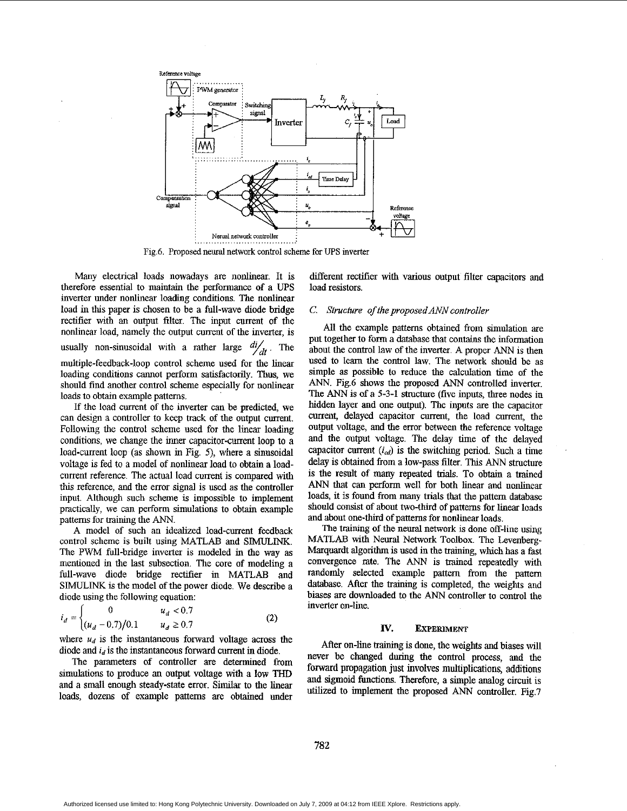

Fig.6. Proposed neural network control scheme for *UPS* inverter

Many electrical loads nowadays are nonlinear. It is therefore essential to maintain the performance of a UPS inverter under nonlinear loading conditions. The nonlinear load in **this** paper is chosen to be a full-wave diode bridge rectifier with an output filter. The input current of the nonlinear load, namely the output current of the inverter, is usually non-sinusoidal with a rather large  $\frac{di}{dt}$ . The multiple-feedback-loop control scheme used for the linear loading conditions cannot perform satisfactorily. Thus, we should find another control scheme especially for nonlinear loads to obtain example patterns.

If the load current of the inverter *can* be predicted, we can design a controller to keep track of the output current. Following the control scheme used for the linear loading conditions, we change the inner capacitor-current loop to a load-current loop (as shown in Fig. *5),* where a sinusoidal voltage is fed to a model of nonlinear load to obtain a loadcurrent reference. The actual load current **is** compared with **this** reference, and the error signal is used as the controller input. Although such scheme **is** impossible to implement practically, we can perform simulations to obtain example patterns for training the *ANN.* 

A model of such an idealized load-current feedback control scheme is built using MATLAB and SIMULINK. The PWM full-bridge inverter is modeled in the way as mentioned in the last subsection. The core of modeling a full-wave diode bridge rectifier in MATLAB and SIMULINK **is** the model of the power diode. **We** describe a diode using the following equation:

$$
i_d = \begin{cases} 0 & u_d < 0.7\\ (u_d - 0.7)/0.1 & u_d \ge 0.7 \end{cases}
$$
 (2)

where  $u_d$  is the instantaneous forward voltage across the diode and  $i_d$  is the instantaneous forward current in diode,

The parameters of controller are determined from simulations to produce an output voltage with a **low** THD and a small enough steady-state error. Similar to the linear loads, dozens of example patterns are obtained under different rectifier with various output filter capacitors **and**  load resistors.

# C. *Strucfure of the proposedANN controller*

All the example patterns obtained from simulation are put together to form a database that contains the information about the control law of the inverter. **A** proper *ANN* is then used to learn the control law. The network should be **as**  simple **as** possible to reduce the calculation time of the *ANN.* Fig.6 shows the proposed *ANN* controlled inverter. The *ANN* is of a **5-3-1** structure (five inputs, three nodes in bidden layer and one output). The inputs are the capacitor current, delayed capacitor current, the load current, the output voltage, and the error between the reference voltage and the output voltage. The delay time of the delayed capacitor current  $(i_{cd})$  is the switching period. Such a time delay is obtained from a low-pass filter. This *ANN* structure **is** the result of many repeated trials. To obtain a trained **ANN** that can perform well for both linear and nonlinear loads, it **is** found from many trials that the pattern database should consist of about two-third of patterns for linear loads and about one-third of patterns for nonlinear loads.

The training of the neural network is done off-line **using**  MATLAB with Neural Network Toolbox. The Levenberg-Marqnardt algorithm **is** used in the training, which has a fast convergence rate. The ANN is trained repeatedly with randomly selected example pattern from the pattern database. After the training is completed, the weights and biases **are** downloaded to the *ANN* controller to control the inverter on-line.

### **IV. EXPERIMENT**

**After** on-line training is done, the weights and biases will never be changed during the control process, and the forward propagation **just** involves multiplications, additions and sigmoid functions. Therefore, a simple analog circuit **is**  utilized to implement the proposed *ANN* controller. Fig.7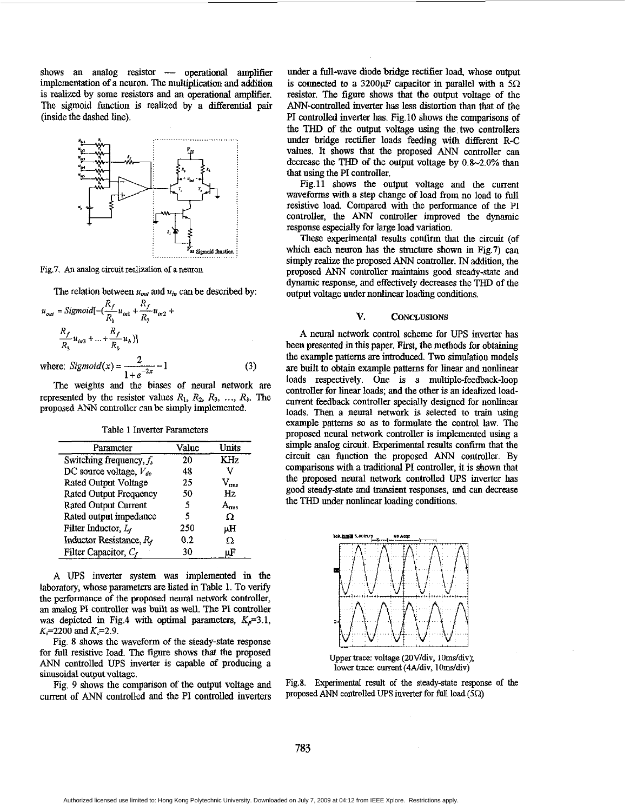shows an analog resistor  $\leftarrow$  operational amplifier implementation of a neuron. The multiplication and addition is realized by some resistors **and** an operational amplifier. The sigmoid function is realized by a differential pair (inside the dashed line).



Fig.7. An analog circuit **realization** of a neuron

The relation between  $u_{out}$  and  $u_{in}$  can be described by:

$$
u_{out} = Sigmoid[-(\frac{R_f}{R_1}u_{int} + \frac{R_f}{R_2}u_{in2} + \frac{R_f}{R_3}u_{in3} + ... + \frac{R_f}{R_b}u_b)]
$$

where: *Sigmoid*(*x*) =  $\frac{2}{1 + e^{-2x}} - 1$  (3)

The weights **and** the biases of nenral network are represented by the resistor values  $R_1, R_2, R_3, \ldots, R_b$ . The proposed ANN controller can be simply implemented.

Table **1** Inverter Parameters

| Parameter                     | Value | Units         |
|-------------------------------|-------|---------------|
| Switching frequency, $f_s$    | 20    | KHz           |
| DC source voltage, $V_{dc}$   | 48    |               |
| Rated Output Voltage          | 25    | $\rm V_{rms}$ |
| <b>Rated Output Frequency</b> | 50    | Hz            |
| Rated Output Current          | 5     |               |
| Rated output impedance        | 5     | Ω             |
| Filter Inductor, $L_f$        | 250   | μH            |
| Inductor Resistance, Rf       | 0.2   | Ω             |
| Filter Capacitor, $C_f$       | 30    | μF            |

**A** UPS inverter system was implemented in the laboratory, whose parameters are listed in Table 1. To verify the performance of the proposed neural network controller, an analog PI controller was built **as** well. The PI controller was depicted in Fig.4 with optimal parameters,  $K_p=3.1$ ,  $K_r = 2200$  and  $K_c = 2.9$ .

Fig. **8** shows the waveform of the steady-state response for **full** resistive load. The **figure** shows that the proposed *ANN* controlled UPS inverter **is** capable **of** producing a sinusoidal **output** voltage.

Fig. 9 shows the comparison of the output voltage and current of *ANN* controlled and the PI controlled inverters

under a full-wave diode bridge rectifier load, whose output is connected to a 3200 $\mu$ F capacitor in parallel with a  $5\Omega$ resistor. The figure shows that the output voltage of the ANN-controlled inverter has **less** distortion than that of the PI controlled inverter has. Fig. 10 shows the **comparisons** of the THD of the output voltage **using** the two controllers under bridge rectifier loads feeding with different R-C values. It **shows** that the proposed ANN controller can decrease the THD of the output voltage by 0.8-2.0% **than**  that **using** the PI controller.

Fig.11 **shows** the ontput voltage and the current waveforms with a step change of load from no load to full resistive load. Compared with the performance of the PI controller, the *ANN* controller improved the dynamic response especially for large load variation.

These experimental results confirm that the circuit (of which each neuron has the structure shown in Fig.7) can simply realize the proposed *ANN* controller. IN addition, the proposed *ANN* controller **maintains** good steady-state and dynamic response, and effectively decreases the THD of the output voltage under nonlinear loading conditions.

## **V. CONCLUSIONS**

**A** neural network control scheme for UPS inverter has been presented in this paper. **First,** the methods for obtaining the example patterns are introduced. Two simulation models are built to obtain example patterns for linear and nonlinear loads respectively. One is a multiple-feedback-loop controller for linear loads; and the other is an idealized loadcurrent feedback controller specially designed for nonlinear loads. Then a neural network is selected to train using example patterns so **as** to formulate the control law. **The**  proposed neural network controller is implemented using a simple analog circuit. Experimental results confirm that the circuit can function the proposed *ANN* controller. By comparisons with a traditional **PI** controller, it is shown that the proposed neural network controlled UPS inverter has good steady-state and transient responses, and can decrease the THD under nonlinear loading conditions.



Upper trace: voltage (20V/div, 10ms/div); **lower trace: current (4A/div, 10ms/div)** 

Fig.8. **Expenmental** result of the **steady-state** response of **the**  proposed ANN controlled UPS inverter for full load  $(5\Omega)$